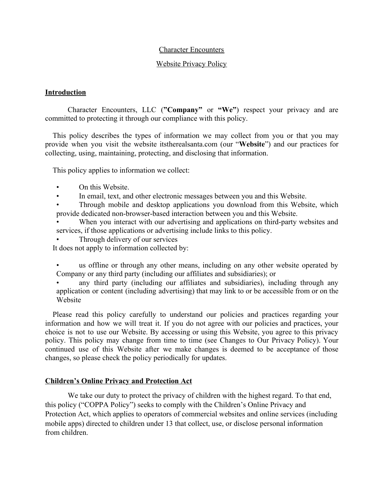#### Character Encounters

#### Website Privacy Policy

#### **Introduction**

Character Encounters, LLC (**"Company"** or **"We"**) respect your privacy and are committed to protecting it through our compliance with this policy.

 This policy describes the types of information we may collect from you or that you may provide when you visit the website itstherealsanta.com (our "**Website**") and our practices for collecting, using, maintaining, protecting, and disclosing that information.

This policy applies to information we collect:

- On this Website.
- In email, text, and other electronic messages between you and this Website.

• Through mobile and desktop applications you download from this Website, which provide dedicated non-browser-based interaction between you and this Website.

When you interact with our advertising and applications on third-party websites and services, if those applications or advertising include links to this policy.

Through delivery of our services

It does not apply to information collected by:

us offline or through any other means, including on any other website operated by Company or any third party (including our affiliates and subsidiaries); or

any third party (including our affiliates and subsidiaries), including through any application or content (including advertising) that may link to or be accessible from or on the Website

 Please read this policy carefully to understand our policies and practices regarding your information and how we will treat it. If you do not agree with our policies and practices, your choice is not to use our Website. By accessing or using this Website, you agree to this privacy policy. This policy may change from time to time (see Changes to Our Privacy Policy). Your continued use of this Website after we make changes is deemed to be acceptance of those changes, so please check the policy periodically for updates.

### **Children's Online Privacy and Protection Act**

We take our duty to protect the privacy of children with the highest regard. To that end, this policy ("COPPA Policy") seeks to comply with the Children's Online Privacy and Protection Act, which applies to operators of commercial websites and online services (including mobile apps) directed to children under 13 that collect, use, or disclose personal information from children.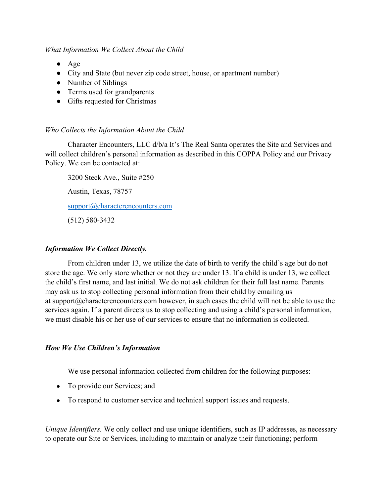### *What Information We Collect About the Child*

- Age
- City and State (but never zip code street, house, or apartment number)
- Number of Siblings
- Terms used for grandparents
- Gifts requested for Christmas

### *Who Collects the Information About the Child*

Character Encounters, LLC d/b/a It's The Real Santa operates the Site and Services and will collect children's personal information as described in this COPPA Policy and our Privacy Policy. We can be contacted at:

3200 Steck Ave., Suite #250 Austin, Texas, 78757 [support@characterencounters.com](mailto:support@characterencounters.com) (512) 580-3432

### *Information We Collect Directly.*

From children under 13, we utilize the date of birth to verify the child's age but do not store the age. We only store whether or not they are under 13. If a child is under 13, we collect the child's first name, and last initial. We do not ask children for their full last name. Parents may ask us to stop collecting personal information from their child by emailing us at support@characterencounters.com however, in such cases the child will not be able to use the services again. If a parent directs us to stop collecting and using a child's personal information, we must disable his or her use of our services to ensure that no information is collected.

### *How We Use Children's Information*

We use personal information collected from children for the following purposes:

- To provide our Services; and
- To respond to customer service and technical support issues and requests.

*Unique Identifiers.* We only collect and use unique identifiers, such as IP addresses, as necessary to operate our Site or Services, including to maintain or analyze their functioning; perform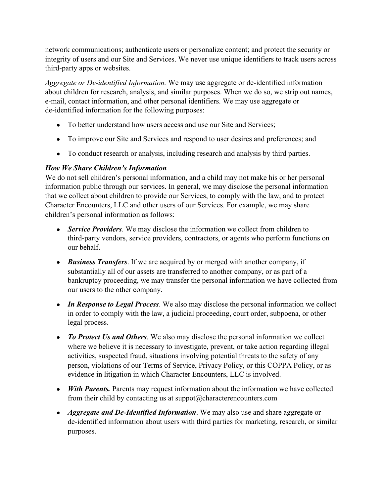network communications; authenticate users or personalize content; and protect the security or integrity of users and our Site and Services. We never use unique identifiers to track users across third-party apps or websites.

*Aggregate or De-identified Information.* We may use aggregate or de-identified information about children for research, analysis, and similar purposes. When we do so, we strip out names, e-mail, contact information, and other personal identifiers. We may use aggregate or de-identified information for the following purposes:

- To better understand how users access and use our Site and Services:
- To improve our Site and Services and respond to user desires and preferences; and
- To conduct research or analysis, including research and analysis by third parties.

# *How We Share Children's Information*

We do not sell children's personal information, and a child may not make his or her personal information public through our services. In general, we may disclose the personal information that we collect about children to provide our Services, to comply with the law, and to protect Character Encounters, LLC and other users of our Services. For example, we may share children's personal information as follows:

- *Service Providers*. We may disclose the information we collect from children to third-party vendors, service providers, contractors, or agents who perform functions on our behalf.
- *Business Transfers*. If we are acquired by or merged with another company, if substantially all of our assets are transferred to another company, or as part of a bankruptcy proceeding, we may transfer the personal information we have collected from our users to the other company.
- *In Response to Legal Process*. We also may disclose the personal information we collect in order to comply with the law, a judicial proceeding, court order, subpoena, or other legal process.
- *To Protect Us and Others*. We also may disclose the personal information we collect where we believe it is necessary to investigate, prevent, or take action regarding illegal activities, suspected fraud, situations involving potential threats to the safety of any person, violations of our Terms of Service, Privacy Policy, or this COPPA Policy, or as evidence in litigation in which Character Encounters, LLC is involved.
- *With Parents.* Parents may request information about the information we have collected from their child by contacting us at suppot@characterencounters.com
- *Aggregate and De-Identified Information*. We may also use and share aggregate or de-identified information about users with third parties for marketing, research, or similar purposes.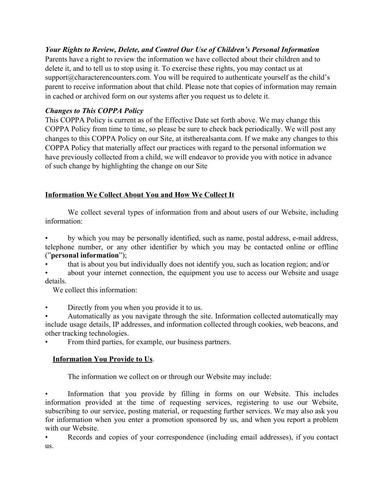# *Your Rights to Review, Delete, and Control Our Use of Children's Personal Information*

Parents have a right to review the information we have collected about their children and to delete it, and to tell us to stop using it. To exercise these rights, you may contact us at support@characterencounters.com. You will be required to authenticate yourself as the child's parent to receive information about that child. Please note that copies of information may remain in cached or archived form on our systems after you request us to delete it.

# *Changes to This COPPA Policy*

This COPPA Policy is current as of the Effective Date set forth above. We may change this COPPA Policy from time to time, so please be sure to check back periodically. We will post any changes to this COPPA Policy on our Site, at itstherealsanta.com. If we make any changes to this COPPA Policy that materially affect our practices with regard to the personal information we have previously collected from a child, we will endeavor to provide you with notice in advance of such change by highlighting the change on our Site

# **Information We Collect About You and How We Collect It**

We collect several types of information from and about users of our Website, including information:

• by which you may be personally identified, such as name, postal address, e-mail address, telephone number, or any other identifier by which you may be contacted online or offline ("**personal information**");

• that is about you but individually does not identify you, such as location region; and/or

about your internet connection, the equipment you use to access our Website and usage details.

We collect this information:

Directly from you when you provide it to us.

• Automatically as you navigate through the site. Information collected automatically may include usage details, IP addresses, and information collected through cookies, web beacons, and other tracking technologies.

From third parties, for example, our business partners.

# **Information You Provide to Us**.

The information we collect on or through our Website may include:

Information that you provide by filling in forms on our Website. This includes information provided at the time of requesting services, registering to use our Website, subscribing to our service, posting material, or requesting further services. We may also ask you for information when you enter a promotion sponsored by us, and when you report a problem with our Website.

• Records and copies of your correspondence (including email addresses), if you contact us.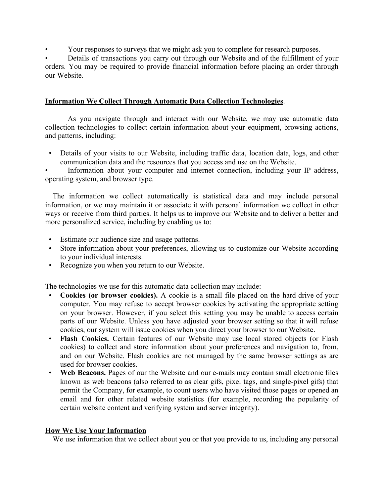• Your responses to surveys that we might ask you to complete for research purposes.

• Details of transactions you carry out through our Website and of the fulfillment of your orders. You may be required to provide financial information before placing an order through our Website.

### **Information We Collect Through Automatic Data Collection Technologies**.

As you navigate through and interact with our Website, we may use automatic data collection technologies to collect certain information about your equipment, browsing actions, and patterns, including:

• Details of your visits to our Website, including traffic data, location data, logs, and other communication data and the resources that you access and use on the Website.

Information about your computer and internet connection, including your IP address, operating system, and browser type.

 The information we collect automatically is statistical data and may include personal information, or we may maintain it or associate it with personal information we collect in other ways or receive from third parties. It helps us to improve our Website and to deliver a better and more personalized service, including by enabling us to:

- Estimate our audience size and usage patterns.
- Store information about your preferences, allowing us to customize our Website according to your individual interests.
- Recognize you when you return to our Website.

The technologies we use for this automatic data collection may include:

- **Cookies (or browser cookies).** A cookie is a small file placed on the hard drive of your computer. You may refuse to accept browser cookies by activating the appropriate setting on your browser. However, if you select this setting you may be unable to access certain parts of our Website. Unless you have adjusted your browser setting so that it will refuse cookies, our system will issue cookies when you direct your browser to our Website.
- **Flash Cookies.** Certain features of our Website may use local stored objects (or Flash cookies) to collect and store information about your preferences and navigation to, from, and on our Website. Flash cookies are not managed by the same browser settings as are used for browser cookies.
- **Web Beacons.** Pages of our the Website and our e-mails may contain small electronic files known as web beacons (also referred to as clear gifs, pixel tags, and single-pixel gifs) that permit the Company, for example, to count users who have visited those pages or opened an email and for other related website statistics (for example, recording the popularity of certain website content and verifying system and server integrity).

### **How We Use Your Information**

We use information that we collect about you or that you provide to us, including any personal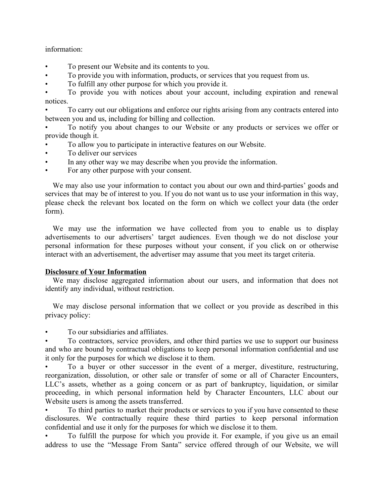### information:

- To present our Website and its contents to you.
- To provide you with information, products, or services that you request from us.
- To fulfill any other purpose for which you provide it.

• To provide you with notices about your account, including expiration and renewal notices.

• To carry out our obligations and enforce our rights arising from any contracts entered into between you and us, including for billing and collection.

• To notify you about changes to our Website or any products or services we offer or provide though it.

- To allow you to participate in interactive features on our Website.
- To deliver our services
- In any other way we may describe when you provide the information.
- For any other purpose with your consent.

 We may also use your information to contact you about our own and third-parties' goods and services that may be of interest to you. If you do not want us to use your information in this way, please check the relevant box located on the form on which we collect your data (the order form).

 We may use the information we have collected from you to enable us to display advertisements to our advertisers' target audiences. Even though we do not disclose your personal information for these purposes without your consent, if you click on or otherwise interact with an advertisement, the advertiser may assume that you meet its target criteria.

### **Disclosure of Your Information**

 We may disclose aggregated information about our users, and information that does not identify any individual, without restriction.

 We may disclose personal information that we collect or you provide as described in this privacy policy:

• To our subsidiaries and affiliates.

• To contractors, service providers, and other third parties we use to support our business and who are bound by contractual obligations to keep personal information confidential and use it only for the purposes for which we disclose it to them.

• To a buyer or other successor in the event of a merger, divestiture, restructuring, reorganization, dissolution, or other sale or transfer of some or all of Character Encounters, LLC's assets, whether as a going concern or as part of bankruptcy, liquidation, or similar proceeding, in which personal information held by Character Encounters, LLC about our Website users is among the assets transferred.

• To third parties to market their products or services to you if you have consented to these disclosures. We contractually require these third parties to keep personal information confidential and use it only for the purposes for which we disclose it to them.

• To fulfill the purpose for which you provide it. For example, if you give us an email address to use the "Message From Santa" service offered through of our Website, we will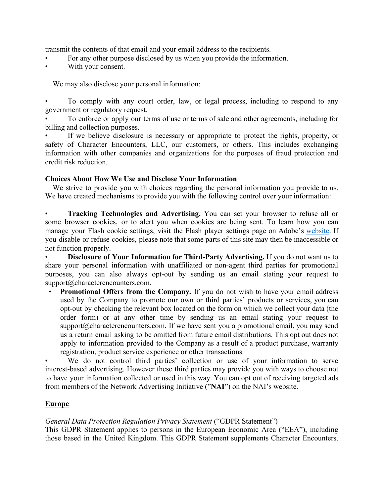transmit the contents of that email and your email address to the recipients.

- For any other purpose disclosed by us when you provide the information.
- With your consent.

We may also disclose your personal information:

• To comply with any court order, law, or legal process, including to respond to any government or regulatory request.

• To enforce or apply our terms of use or terms of sale and other agreements, including for billing and collection purposes.

If we believe disclosure is necessary or appropriate to protect the rights, property, or safety of Character Encounters, LLC, our customers, or others. This includes exchanging information with other companies and organizations for the purposes of fraud protection and credit risk reduction.

### **Choices About How We Use and Disclose Your Information**

We strive to provide you with choices regarding the personal information you provide to us. We have created mechanisms to provide you with the following control over your information:

• **Tracking Technologies and Advertising.** You can set your browser to refuse all or some browser cookies, or to alert you when cookies are being sent. To learn how you can manage your Flash cookie settings, visit the Flash player settings page on Adobe's [website](http://www.macromedia.com/support/documentation/en/flashplayer/help/settings_manager07.html). If you disable or refuse cookies, please note that some parts of this site may then be inaccessible or not function properly.

• **Disclosure of Your Information for Third-Party Advertising.** If you do not want us to share your personal information with unaffiliated or non-agent third parties for promotional purposes, you can also always opt-out by sending us an email stating your request to support@characterencounters.com.

• **Promotional Offers from the Company.** If you do not wish to have your email address used by the Company to promote our own or third parties' products or services, you can opt-out by checking the relevant box located on the form on which we collect your data (the order form) or at any other time by sending us an email stating your request to support@characterencounters.com. If we have sent you a promotional email, you may send us a return email asking to be omitted from future email distributions. This opt out does not apply to information provided to the Company as a result of a product purchase, warranty registration, product service experience or other transactions.

We do not control third parties' collection or use of your information to serve interest-based advertising. However these third parties may provide you with ways to choose not to have your information collected or used in this way. You can opt out of receiving targeted ads from members of the Network Advertising Initiative ("**NAI**") on the NAI's website.

# **Europe**

*General Data Protection Regulation Privacy Statement* ("GDPR Statement")

This GDPR Statement applies to persons in the European Economic Area ("EEA"), including those based in the United Kingdom. This GDPR Statement supplements Character Encounters.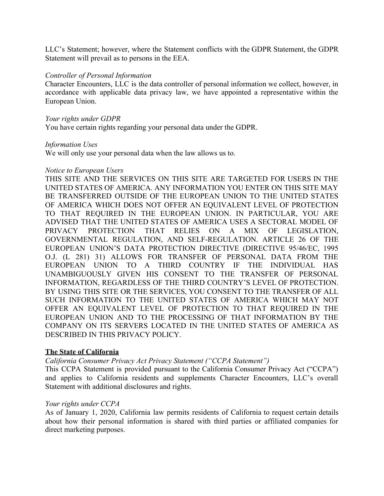LLC's Statement; however, where the Statement conflicts with the GDPR Statement, the GDPR Statement will prevail as to persons in the EEA.

#### *Controller of Personal Information*

Character Encounters, LLC is the data controller of personal information we collect, however, in accordance with applicable data privacy law, we have appointed a representative within the European Union.

#### *Your rights under GDPR*

You have certain rights regarding your personal data under the GDPR.

#### *Information Uses*

We will only use your personal data when the law allows us to.

#### *Notice to European Users*

THIS SITE AND THE SERVICES ON THIS SITE ARE TARGETED FOR USERS IN THE UNITED STATES OF AMERICA. ANY INFORMATION YOU ENTER ON THIS SITE MAY BE TRANSFERRED OUTSIDE OF THE EUROPEAN UNION TO THE UNITED STATES OF AMERICA WHICH DOES NOT OFFER AN EQUIVALENT LEVEL OF PROTECTION TO THAT REQUIRED IN THE EUROPEAN UNION. IN PARTICULAR, YOU ARE ADVISED THAT THE UNITED STATES OF AMERICA USES A SECTORAL MODEL OF PRIVACY PROTECTION THAT RELIES ON A MIX OF LEGISLATION, GOVERNMENTAL REGULATION, AND SELF-REGULATION. ARTICLE 26 OF THE EUROPEAN UNION'S DATA PROTECTION DIRECTIVE (DIRECTIVE 95/46/EC, 1995 O.J. (L 281) 31) ALLOWS FOR TRANSFER OF PERSONAL DATA FROM THE EUROPEAN UNION TO A THIRD COUNTRY IF THE INDIVIDUAL HAS UNAMBIGUOUSLY GIVEN HIS CONSENT TO THE TRANSFER OF PERSONAL INFORMATION, REGARDLESS OF THE THIRD COUNTRY'S LEVEL OF PROTECTION. BY USING THIS SITE OR THE SERVICES, YOU CONSENT TO THE TRANSFER OF ALL SUCH INFORMATION TO THE UNITED STATES OF AMERICA WHICH MAY NOT OFFER AN EQUIVALENT LEVEL OF PROTECTION TO THAT REQUIRED IN THE EUROPEAN UNION AND TO THE PROCESSING OF THAT INFORMATION BY THE COMPANY ON ITS SERVERS LOCATED IN THE UNITED STATES OF AMERICA AS DESCRIBED IN THIS PRIVACY POLICY.

### **The State of California**

*California Consumer Privacy Act Privacy Statement ("CCPA Statement")*

This CCPA Statement is provided pursuant to the California Consumer Privacy Act ("CCPA") and applies to California residents and supplements Character Encounters, LLC's overall Statement with additional disclosures and rights.

### *Your rights under CCPA*

As of January 1, 2020, California law permits residents of California to request certain details about how their personal information is shared with third parties or affiliated companies for direct marketing purposes.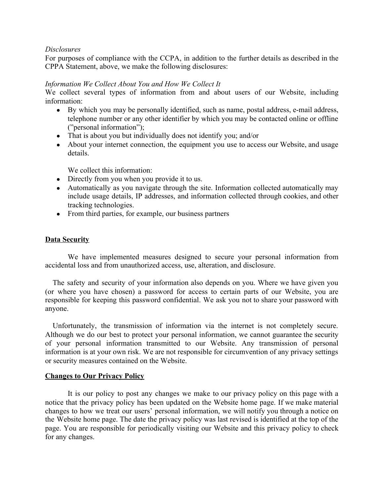### *Disclosures*

For purposes of compliance with the CCPA, in addition to the further details as described in the CPPA Statement, above, we make the following disclosures:

### *Information We Collect About You and How We Collect It*

We collect several types of information from and about users of our Website, including information:

- By which you may be personally identified, such as name, postal address, e-mail address, telephone number or any other identifier by which you may be contacted online or offline ("personal information");
- That is about you but individually does not identify you; and/or
- About your internet connection, the equipment you use to access our Website, and usage details.

We collect this information:

- Directly from you when you provide it to us.
- Automatically as you navigate through the site. Information collected automatically may include usage details, IP addresses, and information collected through cookies, and other tracking technologies.
- From third parties, for example, our business partners

### **Data Security**

We have implemented measures designed to secure your personal information from accidental loss and from unauthorized access, use, alteration, and disclosure.

 The safety and security of your information also depends on you. Where we have given you (or where you have chosen) a password for access to certain parts of our Website, you are responsible for keeping this password confidential. We ask you not to share your password with anyone.

 Unfortunately, the transmission of information via the internet is not completely secure. Although we do our best to protect your personal information, we cannot guarantee the security of your personal information transmitted to our Website. Any transmission of personal information is at your own risk. We are not responsible for circumvention of any privacy settings or security measures contained on the Website.

#### **Changes to Our Privacy Policy**

It is our policy to post any changes we make to our privacy policy on this page with a notice that the privacy policy has been updated on the Website home page. If we make material changes to how we treat our users' personal information, we will notify you through a notice on the Website home page. The date the privacy policy was last revised is identified at the top of the page. You are responsible for periodically visiting our Website and this privacy policy to check for any changes.